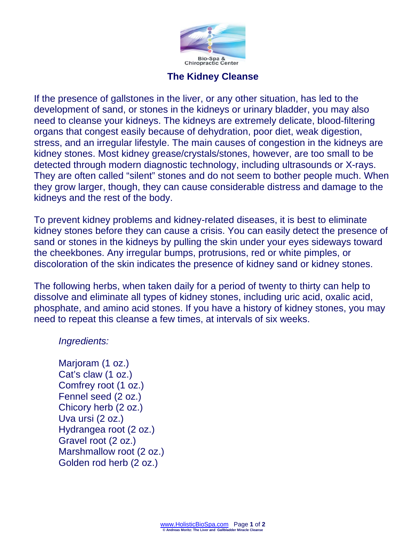

## **The Kidney Cleanse**

If the presence of gallstones in the liver, or any other situation, has led to the development of sand, or stones in the kidneys or urinary bladder, you may also need to cleanse your kidneys. The kidneys are extremely delicate, blood-filtering organs that congest easily because of dehydration, poor diet, weak digestion, stress, and an irregular lifestyle. The main causes of congestion in the kidneys are kidney stones. Most kidney grease/crystals/stones, however, are too small to be detected through modern diagnostic technology, including ultrasounds or X-rays. They are often called "silent" stones and do not seem to bother people much. When they grow larger, though, they can cause considerable distress and damage to the kidneys and the rest of the body.

To prevent kidney problems and kidney-related diseases, it is best to eliminate kidney stones before they can cause a crisis. You can easily detect the presence of sand or stones in the kidneys by pulling the skin under your eyes sideways toward the cheekbones. Any irregular bumps, protrusions, red or white pimples, or discoloration of the skin indicates the presence of kidney sand or kidney stones.

The following herbs, when taken daily for a period of twenty to thirty can help to dissolve and eliminate all types of kidney stones, including uric acid, oxalic acid, phosphate, and amino acid stones. If you have a history of kidney stones, you may need to repeat this cleanse a few times, at intervals of six weeks.

## *Ingredients:*

Marjoram (1 oz.) Cat's claw (1 oz.) Comfrey root (1 oz.) Fennel seed (2 oz.) Chicory herb (2 oz.) Uva ursi (2 oz.) Hydrangea root (2 oz.) Gravel root (2 oz.) Marshmallow root (2 oz.) Golden rod herb (2 oz.)